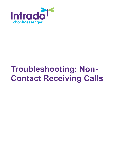

# **Troubleshooting: Non-Contact Receiving Calls**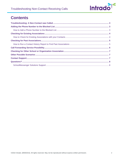

## **Contents**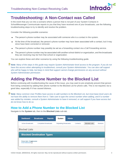

## <span id="page-2-0"></span>**Troubleshooting: A Non-Contact was Called**

In the event that you run into a scenario where a person that is not part of your System Contacts in SchoolMessenger Communicate reports to you that they have received one of your broadcasts, use the following troubleshooting steps to try to identify and resolve the problem.

Consider the following possible scenarios:

- The person's phone number may be associated with someone who is a contact in the system.
- At the time of the broadcast, the person's phone number may have been associated with a contact, but it may since have been corrected or removed.
- The person's phone number may possibly be set as a forwarding contact via a Call Forwarding service.
- The person's phone number may be associated with another school district or organization, and the broadcasts they are receiving may be from that school or organization.

You can explore these and other scenarios by using the following troubleshooting guide.

**Note**: Many of the steps in this guide may require System Administrator-level access to the program. If you do not have this access when attempting to troubleshoot, consult your System Administrator. You can also call support who will be happy to help, but keep in mind that support cannot change permissions on any account without *System Administrator permission.*

## <span id="page-2-1"></span>**Adding the Phone Number to the Blocked List**

Before continuing with troubleshooting the cause of the issue, you may want to pre-emptively prevent that person from being contacted by adding their phone number to the Blocked List for phone calls. This is not required, but a good idea, especially if it has caused distress.

*Note: Many common User Profiles have access to add numbers to the Blocked List, but most base-level users do*  not have the ability to remove them from it. Take care to type the correct number when adding, and if a number was added by mistake, consult a System Administrator to have it removed, or call support if you have access but *do not know how to do so.*

#### <span id="page-2-2"></span>**How to Add a Phone Number to the Blocked List**

Navigate to the **System** tab, then to the **Blocked Lists** sub-tab.

| <b>Dashboard</b>                               | <b>Broadcasts</b>                | <b>Reports</b> | <b>System</b>               | <b>Admin</b> |          |                      |                 |
|------------------------------------------------|----------------------------------|----------------|-----------------------------|--------------|----------|----------------------|-----------------|
| <b>Active Broadcasts</b>                       | <b>Completed Broadcasts</b>      |                | <b>Repeating Broadcasts</b> |              | Contacts | <b>Blocked Lists</b> | <b>Monitors</b> |
| <b>Blocked Lists</b>                           |                                  |                |                             |              |          |                      |                 |
|                                                | <b>Blocked Destination Types</b> |                |                             |              |          |                      |                 |
| Phone Calls / Text-Messages<br>Email Addresses |                                  |                |                             |              |          |                      |                 |
|                                                |                                  |                |                             |              |          |                      |                 |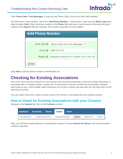

Click P**hone Calls / Text Messages**. It may just say Phone Calls if you do not have SMS enabled.

You will see two main sections. The first is **Add Phone Number**. In that section, make sure the **Block Type** dropdown includes **Calls**. Enter the phone number in the **Phone** field and enter a brief reason for blocking the phone number in the **Reason** field (for example, Non-contact requested not to be called.)

| <b>Add Phone Number</b> |                                               |  |  |  |  |
|-------------------------|-----------------------------------------------|--|--|--|--|
|                         |                                               |  |  |  |  |
| Block Type @            | Block Calls and Text Messages<br>$\checkmark$ |  |  |  |  |
| Phone $\odot$           | 8887427702                                    |  |  |  |  |
| Reason <b>O</b>         | Request received for number not to be con     |  |  |  |  |
| <b>◎</b> Add            |                                               |  |  |  |  |

Click **Add** to add the phone number to the Blocked List.

## <span id="page-3-0"></span>**Checking for Existing Associations**

One of the most common reasons for a non-contact to be receiving broadcasts is that their contact information is associated with an existing contact. Usually, this occurs because a phone number was accidentally mistyped when given to you, or the number used to belong to one of your contacts and now does not, but they have not yet informed you of this.

You can easily check your contact records to see if the number is associated with any existing contacts.

#### <span id="page-3-1"></span>**How to Check for Existing Associations with your Contacts**

Navigate to the **System** tab, then to the **Contacts** sub-tab.

| <b>Dashboard</b>         | <b>Broadcasts</b>           | <b>Reports</b> | System                      | <b>Admin</b> |          |                      |                 |
|--------------------------|-----------------------------|----------------|-----------------------------|--------------|----------|----------------------|-----------------|
| <b>Active Broadcasts</b> | <b>Completed Broadcasts</b> |                | <b>Repeating Broadcasts</b> |              | Contacts | <b>Blocked Lists</b> | <b>Monitors</b> |

Here, you will have several options for searching for contacts. Choose **Search for Person**, and enter the phone number in question.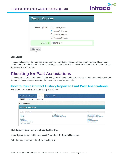

| <b>Search Options</b> |                                                                                                     |  |  |  |  |
|-----------------------|-----------------------------------------------------------------------------------------------------|--|--|--|--|
| Search Options        | $\bigcirc$ Search by Rules<br>Search for Person<br><b>Show All Contacts</b><br>◯ Search by Sections |  |  |  |  |
| Search @              | 5551274271                                                                                          |  |  |  |  |
| <b>尚</b> Spearch      |                                                                                                     |  |  |  |  |

Click **Search**.

If no contacts display, that means that there are no current associations with that phone number. This does not mean that the number was not called, necessarily; it just means that no official system contacts have the number in their records at this time.

## <span id="page-4-0"></span>**Checking for Past Associations**

If you cannot find any current associations with your system contacts for the phone number, you can try to search for associations that were present at the time that the number was called.

#### <span id="page-4-1"></span>**How to Run a Contact History Report to Find Past Associations**

Navigate to the **Reports** tab and the **Reports** sub-tab.

| <b>Dashboard</b>                                                                                 | <b>Broadcasts</b>   | <b>Reports</b>           | <b>System</b> | <b>Admin</b>                                                                           |                                                                                                                                                                    |
|--------------------------------------------------------------------------------------------------|---------------------|--------------------------|---------------|----------------------------------------------------------------------------------------|--------------------------------------------------------------------------------------------------------------------------------------------------------------------|
| Reports                                                                                          | <b>Usage Stats</b>  | <b>Call Distribution</b> |               |                                                                                        |                                                                                                                                                                    |
|                                                                                                  |                     |                          |               |                                                                                        |                                                                                                                                                                    |
| <b>Report Builder</b>                                                                            |                     |                          |               |                                                                                        |                                                                                                                                                                    |
|                                                                                                  | Select a Template o |                          |               |                                                                                        |                                                                                                                                                                    |
| <b>Broadcasts and Date Range</b>                                                                 |                     |                          |               | Individual                                                                             | Other                                                                                                                                                              |
| <b>Broadcast Summary</b><br><b>Phone Log</b><br><b>Email Log</b><br><b>SMS Log</b><br>Device Log |                     |                          |               | Contact History<br>Classrow Contact History<br><b>SchoolMessenger Adoption History</b> | <b>Systemwide Report Archive</b><br><b>Contact and Preference Changes</b><br><b>Contact Information Changes (deprecated)</b><br>Phone Opt-Out<br><b>SMS Status</b> |

Click **Contact History** under the **Individual** heading.

In the Options screen that follows, select **Phone** from the **Search By** section.

Enter the phone number in the **Search Value** field.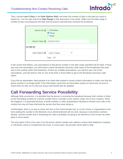

Then, choose **Last X Days** in the **Date Options field**, and enter the number of days in the past you want to search by. You can also search by **Date Range** in that drop-down if you prefer. Make sure the date range or number of days encompasses the date that the person said that they received the broadcast.

| Search By @ O ID Number   | ● Phone<br>$\bigcirc$ Email |
|---------------------------|-----------------------------|
| Search Value   5556372913 |                             |
| <b>FILTER BY</b>          |                             |
| Date Options              | Last X Days<br>$\checkmark$ |
|                           | Days: 30                    |

In the screen that follows, any associations to that phone number in the date range specified will be listed. If there was only one association, you will receive a basic Broadcast Summary-style report of the broadcasts that were sent to the number within that timeframe. If there are multiple associations, you will first see a list of the associations, and will need to click on one of the links in those fields to get to the Broadcast Summary-style report.

If you find an association, best practice is to check that contact's current contact information to make sure that the phone number is no longer listed. If the information came from an information system of some kind, be sure to check there as well, as it is the true source and should also be updated.

## <span id="page-5-0"></span>**Call Forwarding Service Possibility**

Although fairly uncommon, it is possible that the person is receiving the broadcast because their number is listed as the forwarding number for a phone number that is currently in your system under one of your contacts. When this happens, it is generally because a family member or other acquaintance decided to forward such calls to the number but may not have informed the person that they were doing so.

Unfortunately, there is no way to check into this on the Communicate end, or on the school or organization's end. Even adding the number to the Blocked List as aforementioned will not work, because it only blocks numbers directly, and the number that is forwarding the calls is probably not going to be blocked (or even known by either party in most cases).

The only option if this is the case is for the person whose number was called to contact their telephone company or cell phone carrier to troubleshoot the issue. In most cases, the provider will be able to help.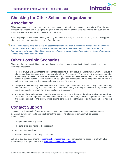

## <span id="page-6-0"></span>**Checking for Other School or Organization Association**

Although unusual, the phone number of the person could be attributed to a contact in an entirely differently school district or organization that is using the program. When this occurs, it is usually a neighboring city, but it can be from anywhere if the number was mistyped or otherwise.

From the perspective of someone using the program, there is no way to check on this, but you can call support, who can assist in checking this possibility from that end.

*Note: Unfortunately, there also exists the possibility that the broadcast is originating from another broadcasting program or source entirely, in which case support will be able to determine that it is not in the records for Communicate but would not be able to see which school or organization has the number on file, or what program they are using to send the broadcast.*

## <span id="page-6-1"></span>**Other Possible Scenarios**

Along with the other possibilities, there are also some other common scenarios that could explain the person receiving a broadcast.

- There is always a chance that the person that is reporting the erroneous broadcast may have misconstrued a phone broadcast that was actually sourced elsewhere. For example, if you sent out a message regarding school being cancelled due to inclement weather, they may actually have received a call from a local weather station or community service line about school being out and misunderstood it as being from you. To rule this out, try to have them play the message for you and see if it is yours.
- The person may be trying to contact another school or organization about this, and simply dialed the wrong number. This is less likely of course, but to rule it out, make sure you identify your school or organization and make sure they know whom they are contacting for clarification.
- A user may have unknowingly manually typed the phone number into their list when sending the broadcast. The Contact History report as aforementioned should find this but if not, check the Report of the broadcast to find the phone number and identify where it came from, then check that user's lists for the number to rule this out.

## <span id="page-6-2"></span>**Contact Support**

If you've gone through all of the troubleshooting steps, but the non-contact person is still receiving the calls, please call our support line to help troubleshoot the issue. The following information will be needed for troubleshooting:

- The phone number in question
- The date, time, and name of the broadcast
- Who sent the broadcast
- Any other information that may be relevant

Call us at 800-920-3897 or email [support@schoolmessenger.com.](mailto:support@schoolmessenger.com) There is also the option to chat with a live technician by clicking the chat link at [www.schoolmessenger.com/support.](http://www.schoolmessenger.com/support)